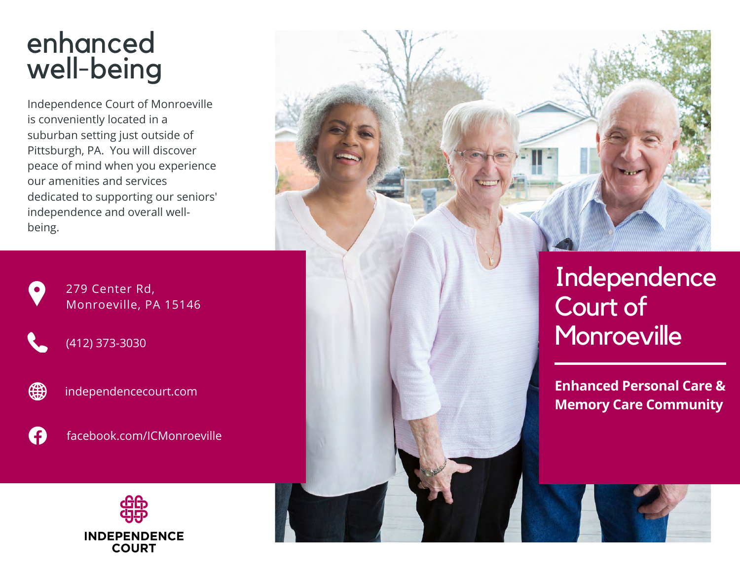## enhanced well-being

Independence Court of Monroeville is conveniently located in a suburban setting just outside of Pittsburgh, PA. You will discover peace of mind when you experience our amenities and services dedicated to supporting our seniors' independence and overall wellbeing.



∰

279 Center Rd, Monroeville, PA 15146

(412) 373-3030

independencecourt.com





**INDEPENDENCE COURT** 



Independence Court of **Monroeville** 

**Enhanced Personal Care & Memory Care Community**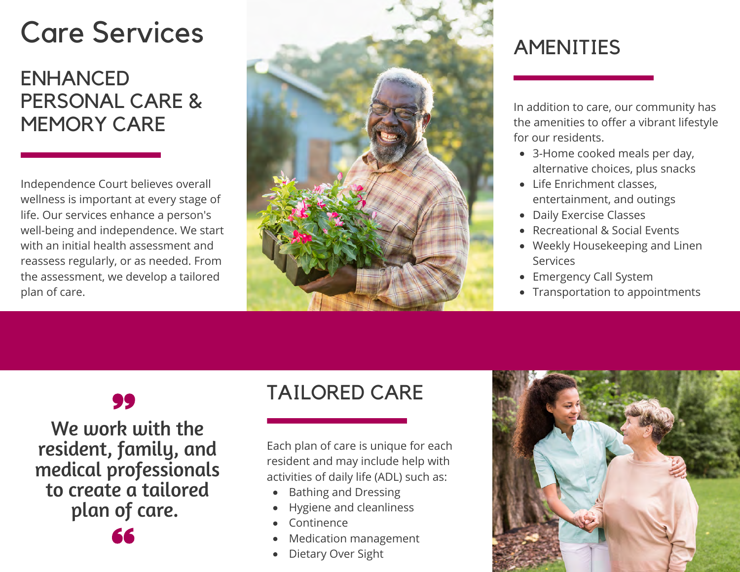# Care Services

#### ENHANCED PERSONAL CARE & MEMORY CARE

Independence Court believes overall wellness is important at every stage of life. Our services enhance a person's well-being and independence. We start with an initial health assessment and reassess regularly, or as needed. From the assessment, we develop a tailored plan of care.



## AMENITIES

In addition to care, our community has the amenities to offer a vibrant lifestyle for our residents.

- 3-Home cooked meals per day, alternative choices, plus snacks
- Life Enrichment classes. entertainment, and outings
- Daily Exercise Classes
- Recreational & Social Events
- Weekly Housekeeping and Linen Services
- Emergency Call System
- Transportation to appointments

#### 99

We work with the resident, family, and medical professionals to create a tailored plan of care.

### TAILORED CARE

Each plan of care is unique for each resident and may include help with activities of daily life (ADL) such as:

- Bathing and Dressing
- Hygiene and cleanliness
- Continence
- Medication management
- Dietary Over Sight